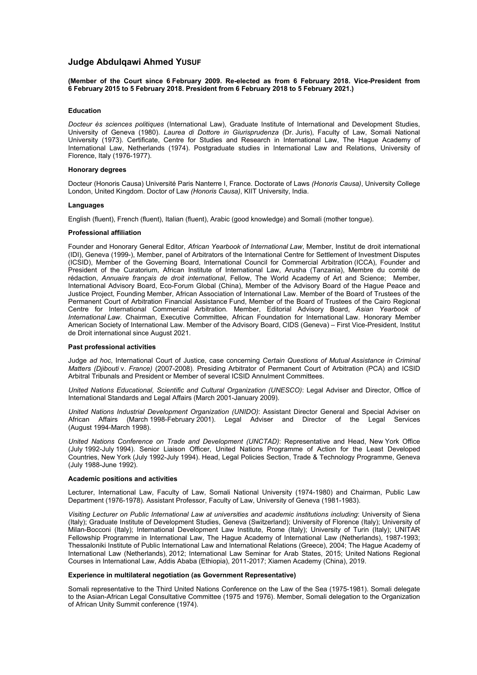# **Judge Abdulqawi Ahmed YUSUF**

**(Member of the Court since 6 February 2009. Re-elected as from 6 February 2018. Vice-President from 6 February 2015 to 5 February 2018. President from 6 February 2018 to 5 February 2021.)**

### **Education**

*Docteur ès sciences politiques* (International Law), Graduate Institute of International and Development Studies, University of Geneva (1980). *Laurea di Dottore in Giurisprudenza* (Dr. Juris), Faculty of Law, Somali National University (1973). Certificate, Centre for Studies and Research in International Law, The Hague Academy of International Law, Netherlands (1974). Postgraduate studies in International Law and Relations, University of Florence, Italy (1976-1977).

### **Honorary degrees**

Docteur (Honoris Causa) Université Paris Nanterre I, France. Doctorate of Laws *(Honoris Causa)*, University College London, United Kingdom. Doctor of Law *(Honoris Causa)*, KIIT University, India.

### **Languages**

English (fluent), French (fluent), Italian (fluent), Arabic (good knowledge) and Somali (mother tongue).

### **Professional affiliation**

Founder and Honorary General Editor, *African Yearbook of International Law*, Member, Institut de droit international (IDI), Geneva (1999-), Member, panel of Arbitrators of the International Centre for Settlement of Investment Disputes (ICSID), Member of the Governing Board, International Council for Commercial Arbitration (ICCA), Founder and President of the Curatorium, African Institute of International Law, Arusha (Tanzania), Membre du comité de rédaction, *Annuaire français de droit international*, Fellow, The World Academy of Art and Science; Member, International Advisory Board, Eco-Forum Global (China), Member of the Advisory Board of the Hague Peace and Justice Project, Founding Member, African Association of International Law. Member of the Board of Trustees of the Permanent Court of Arbitration Financial Assistance Fund, Member of the Board of Trustees of the Cairo Regional Centre for International Commercial Arbitration. Member, Editorial Advisory Board, *Asian Yearbook of International Law*. Chairman, Executive Committee, African Foundation for International Law. Honorary Member American Society of International Law. Member of the Advisory Board, CIDS (Geneva) – First Vice-President, Institut de Droit international since August 2021.

## **Past professional activities**

Judge *ad hoc*, International Court of Justice, case concerning *Certain Questions of Mutual Assistance in Criminal Matters (Djibouti* v. *France)* (2007-2008). Presiding Arbitrator of Permanent Court of Arbitration (PCA) and ICSID Arbitral Tribunals and President or Member of several ICSID Annulment Committees.

*United Nations Educational, Scientific and Cultural Organization (UNESCO)*: Legal Adviser and Director, Office of International Standards and Legal Affairs (March 2001-January 2009).

*United Nations Industrial Development Organization (UNIDO)*: Assistant Director General and Special Adviser on African Affairs (March 1998-February 2001). Legal Adviser and Director of the Legal Services (August 1994-March 1998).

*United Nations Conference on Trade and Development (UNCTAD)*: Representative and Head, New York Office (July 1992-July 1994). Senior Liaison Officer, United Nations Programme of Action for the Least Developed Countries, New York (July 1992-July 1994). Head, Legal Policies Section, Trade & Technology Programme, Geneva (July 1988-June 1992).

#### **Academic positions and activities**

Lecturer, International Law, Faculty of Law, Somali National University (1974-1980) and Chairman, Public Law Department (1976-1978). Assistant Professor, Faculty of Law, University of Geneva (1981-1983).

*Visiting Lecturer on Public International Law at universities and academic institutions including*: University of Siena (Italy); Graduate Institute of Development Studies, Geneva (Switzerland); University of Florence (Italy); University of Milan-Bocconi (Italy); International Development Law Institute, Rome (Italy); University of Turin (Italy); UNITAR Fellowship Programme in International Law, The Hague Academy of International Law (Netherlands), 1987-1993; Thessaloniki Institute of Public International Law and International Relations (Greece), 2004; The Hague Academy of International Law (Netherlands), 2012; International Law Seminar for Arab States, 2015; United Nations Regional Courses in International Law, Addis Ababa (Ethiopia), 2011-2017; Xiamen Academy (China), 2019.

### **Experience in multilateral negotiation (as Government Representative)**

Somali representative to the Third United Nations Conference on the Law of the Sea (1975-1981). Somali delegate to the Asian-African Legal Consultative Committee (1975 and 1976). Member, Somali delegation to the Organization of African Unity Summit conference (1974).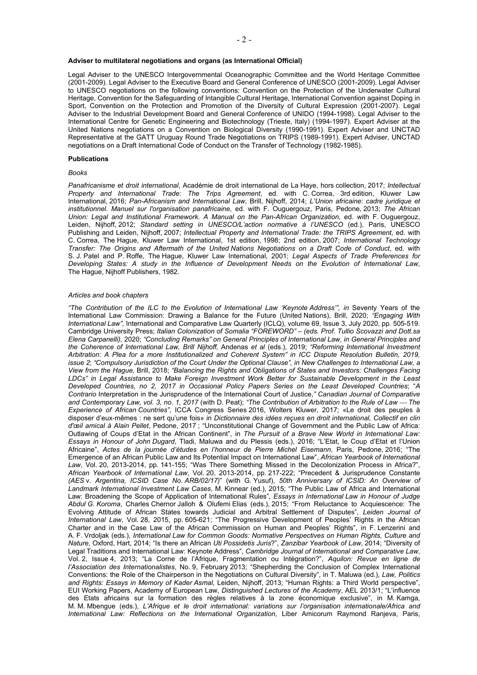# **Adviser to multilateral negotiations and organs (as International Official)**

Legal Adviser to the UNESCO Intergovernmental Oceanographic Committee and the World Heritage Committee (2001-2009). Legal Adviser to the Executive Board and General Conference of UNESCO (2001-2009). Legal Adviser to UNESCO negotiations on the following conventions: Convention on the Protection of the Underwater Cultural Heritage, Convention for the Safeguarding of Intangible Cultural Heritage, International Convention against Doping in Sport, Convention on the Protection and Promotion of the Diversity of Cultural Expression (2001-2007). Legal Adviser to the Industrial Development Board and General Conference of UNIDO (1994-1998). Legal Adviser to the International Centre for Genetic Engineering and Biotechnology (Trieste, Italy) (1994-1997). Expert Adviser at the United Nations negotiations on a Convention on Biological Diversity (1990-1991). Expert Adviser and UNCTAD Representative at the GATT Uruguay Round Trade Negotiations on TRIPS (1989-1991). Expert Adviser, UNCTAD negotiations on a Draft International Code of Conduct on the Transfer of Technology (1982-1985).

#### **Publications**

### *Books*

*Panafricanisme et droit international*, Académie de droit international de La Haye, hors collection, 2017; *Intellectual Property and International Trade: The Trips Agreement*, ed. with C. Correa, 3rd edition, Kluwer Law International, 2016; *Pan-Africanism and International Law*, Brill, Nijhoff, 2014; *L'Union africaine: cadre juridique et institutionnel. Manuel sur l'organisation panafricaine*, ed. with F. Ouguergouz, Paris, Pedone, 2013; *The African Union: Legal and Institutional Framework. A Manual on the Pan-African Organization*, ed. with F. Ouguergouz, Leiden, Nijhoff, 2012; *Standard setting in UNESCO/L'action normative à l'UNESCO* (ed.), Paris, UNESCO Publishing and Leiden, Nijhoff, 2007; *Intellectual Property and International Trade: the TRIPS Agreement*, ed. with C. Correa, The Hague, Kluwer Law International, 1st edition, 1998; 2nd edition, 2007; *International Technology Transfer: The Origins and Aftermath of the United Nations Negotiations on a Draft Code of Conduct*, ed. with S. J. Patel and P. Roffe, The Hague, Kluwer Law International, 2001; *Legal Aspects of Trade Preferences for Developing States: A study in the Influence of Development Needs on the Evolution of International Law*, The Hague, Nijhoff Publishers, 1982.

### *Articles and book chapters*

*"The Contribution of the ILC to the Evolution of International Law 'Keynote Address'", in* Seventy Years of the International Law Commission: Drawing a Balance for the Future (United Nations), Brill, 2020; *"Engaging With International Law",* International and Comparative Law Quarterly (ICLQ), volume 69, Issue 3, July 2020, pp. 505-519. Cambridge University Press; *Italian Colonization of Somalia "FOREWORD" – (eds. Prof. Tullio Scovazzi and Dott.sa Elena Carpanelli),* 2020; *"Concluding Remarks" on General Principles of International Law, in General Principles and the Coherence of International Law, Brill Nijhoff,* Andenas *et al* (eds.), 2019; *"Reforming International Investment Arbitration: A Plea for a more Institutionalized and Coherent System" in ICC Dispute Resolution Bulletin, 2019, issue 2*; *"Compulsory Jurisdiction of the Court Under the Optional Clause", in New Challenges to International Law, a View from the Hague,* Brill, 2018; *"Balancing the Rights and Obligations of States and Investors: Challenges Facing LDCs" in Legal Assistance to Make Foreign Investment Work Better for Sustainable Development in the Least Developed Countries, no 2, 2017 in Occasional Policy Papers Series on the Least Developed Countries*; "*A Contrario* Interpretation in the Jurisprudence of the International Court of Justice,*" Canadian Journal of Comparative and Contemporary Law, vol. 3, no. 1, 2017* (with D. Peat); *"The Contribution of Arbitration to the Rule of Law The Experience of African Countries",* ICCA Congress Series 2016, Wolters Kluwer, 2017; «Le droit des peuples à disposer d'eux-mêmes : ne sert qu'une fois» in *Dictionnaire des idées reçues en droit international, Collectif en clin d'œil amical à Alain Pellet*, Pedone, 2017 ; "Unconstitutional Change of Government and the Public Law of Africa: Outlawing of Coups d'Etat in the African Continent", in *The Pursuit of a Brave New World in International Law: Essays in Honour of John Dugard*, Tladi, Maluwa and du Plessis (eds.), 2016; "L'Etat, le Coup d'Etat et l'Union Africaine", *Actes de la journée d'études en l'honneur de Pierre Michel Eisemann*, Paris, Pedone, 2016; "The Emergence of an African Public Law and Its Potential Impact on International Law", *African Yearbook of International Law*, Vol. 20, 2013-2014, pp. 141-155; "Was There Something Missed in the Decolonization Process in Africa?", *African Yearbook of International Law*, Vol. 20, 2013-2014, pp. 217-222; "Precedent & Jurisprudence Constante *(AES* v. *Argentina, ICSID Case No. ARB/02/17)*" (with G. Yusuf), *50th Anniversary of ICSID: An Overview of Landmark International Investment Law Cases*, M. Kinnear (ed.), 2015; "The Public Law of Africa and International Law: Broadening the Scope of Application of International Rules", *Essays in International Law in Honour of Judge Abdul G. Koroma*, Charles Chernor Jalloh & Olufemi Elias (eds.), 2015; "From Reluctance to Acquiescence: The Evolving Attitude of African States towards Judicial and Arbitral Settlement of Disputes", *Leiden Journal of International Law*, Vol. 28, 2015, pp. 605-621; "The Progressive Development of Peoples' Rights in the African Charter and in the Case Law of the African Commission on Human and Peoples' Rights", in F. Lenzerini and A. F. Vrdoljak (eds.), *International Law for Common Goods: Normative Perspectives on Human Rights, Culture and Nature*, Oxford, Hart, 2014; "Is there an African *Uti Possidetis Juris*?", *Zanzibar Yearbook of Law*, 2014; "Diversity of Legal Traditions and International Law: Keynote Address", *Cambridge Journal of International and Comparative Law*, Vol. 2, Issue 4, 2013; "La Corne de l'Afrique, Fragmentation ou Intégration?", *Aquilon: Revue en ligne de l'Association des Internationalistes*, No. 9, February 2013; "Shepherding the Conclusion of Complex International Conventions: the Role of the Chairperson in the Negotiations on Cultural Diversity", in T. Maluwa (ed.), *Law, Politics and Rights: Essays in Memory of Kader Asmal*, Leiden, Nijhoff, 2013; "Human Rights: a Third World perspective", EUI Working Papers, Academy of European Law, *Distinguished Lectures of the Academy*, AEL 2013/1; "L'influence des Etats africains sur la formation des règles relatives à la zone économique exclusive", in M. Kamga, M. M. Mbengue (eds.), *L'Afrique et le droit international: variations sur l'organisation internationale/Africa and International Law: Reflections on the International Organization*, Liber Amicorum Raymond Ranjeva, Paris,